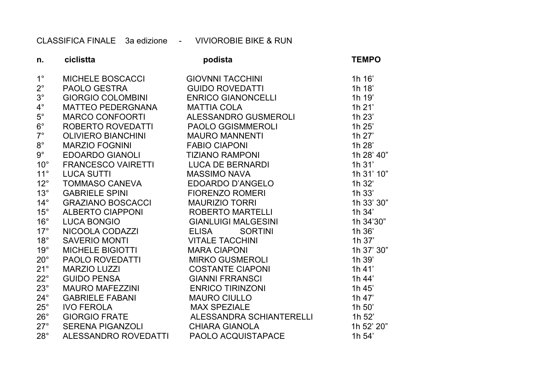CLASSIFICA FINALE 3a edizione - VIVIOROBIE BIKE & RUN

| n.           | ciclistta                           | podista                                                                                                                                                                                                                                      | <b>TEMPO</b> |
|--------------|-------------------------------------|----------------------------------------------------------------------------------------------------------------------------------------------------------------------------------------------------------------------------------------------|--------------|
| $1^{\circ}$  | MICHELE BOSCACCI                    | GIOVNNI TACCHINI<br>GUIDO ROVEDATTI<br>ENRICO GIANONCELLI<br>MATTIA COLA                                                                                                                                                                     | 1h 16'       |
| $2^{\circ}$  | PAOLO GESTRA                        |                                                                                                                                                                                                                                              | 1h 18'       |
| $3^{\circ}$  | <b>GIORGIO COLOMBINI</b>            |                                                                                                                                                                                                                                              | 1h 19'       |
| $4^{\circ}$  | MATTEO PEDERGNANA                   |                                                                                                                                                                                                                                              | 1h 21'       |
| $5^{\circ}$  | MARCO CONFOORTI                     | ALESSANDRO GUSMEROLI                                                                                                                                                                                                                         | 1h 23'       |
| $6^{\circ}$  | ROBERTO ROVEDATTI PAOLO GGISMMEROLI |                                                                                                                                                                                                                                              | 1h 25'       |
| $7^\circ$    |                                     |                                                                                                                                                                                                                                              | 1h 27'       |
| $8^{\circ}$  |                                     |                                                                                                                                                                                                                                              | 1h 28'       |
| $9^{\circ}$  |                                     |                                                                                                                                                                                                                                              | 1h 28' 40"   |
| $10^{\circ}$ |                                     |                                                                                                                                                                                                                                              | $1h$ 31'     |
| $11^{\circ}$ |                                     |                                                                                                                                                                                                                                              | 1h 31' 10"   |
| $12^{\circ}$ |                                     | ROBERTO ROVEDATTI PAOLO GGISMMEROLI<br>NARZIO FOGININI MAURO MANNENTI<br>MARZIO FOGININI FABIO CIAPONI<br>FRANCESCO VAIRETTI LUCA DE BERNARDI<br>LUCA SUTTI<br>NARSIMO RAMPONI<br>LUCA SUTTI MASSIMO NAVA<br>TOMMASO CANEVA EDOARDO D'ANGELO | 1h 32'       |
| $13^\circ$   |                                     |                                                                                                                                                                                                                                              | $1h$ 33 $'$  |
| $14^{\circ}$ |                                     |                                                                                                                                                                                                                                              | 1h 33' 30"   |
| $15^{\circ}$ |                                     |                                                                                                                                                                                                                                              | 1h 34'       |
| $16^{\circ}$ |                                     |                                                                                                                                                                                                                                              | 1h 34'30"    |
| $17^\circ$   |                                     |                                                                                                                                                                                                                                              | 1h 36'       |
| $18^\circ$   |                                     |                                                                                                                                                                                                                                              | 1h 37'       |
| $19^\circ$   |                                     |                                                                                                                                                                                                                                              | 1h 37' 30"   |
| $20^{\circ}$ |                                     |                                                                                                                                                                                                                                              | 1h 39'       |
| $21^\circ$   |                                     |                                                                                                                                                                                                                                              | $1h$ 41'     |
| $22^{\circ}$ |                                     |                                                                                                                                                                                                                                              | 1h 44'       |
| $23^\circ$   |                                     |                                                                                                                                                                                                                                              | 1h 45'       |
| $24^{\circ}$ |                                     |                                                                                                                                                                                                                                              | 1h 47'       |
| $25^{\circ}$ |                                     |                                                                                                                                                                                                                                              | 1h 50'       |
| $26^{\circ}$ | <b>GIORGIO FRATE</b>                | ALESSANDRA SCHIANTERELLI                                                                                                                                                                                                                     | 1h 52'       |
| $27^\circ$   | SERENA PIGANZOLI CHIARA GIANOLA     |                                                                                                                                                                                                                                              | 1h 52' 20"   |
| $28^\circ$   | ALESSANDRO ROVEDATTI                | PAOLO ACQUISTAPACE                                                                                                                                                                                                                           | 1h 54'       |